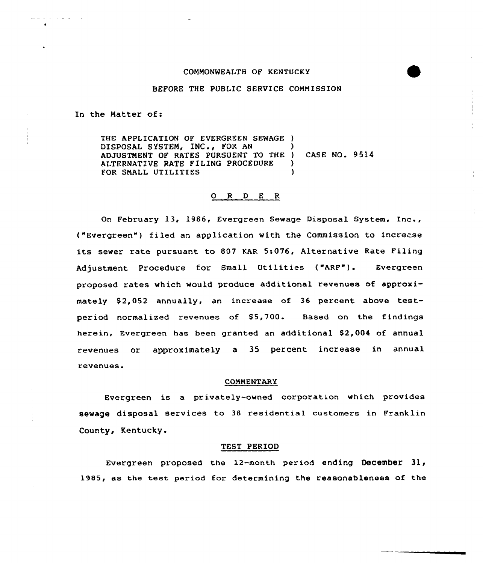#### COMMONWEALTH OF KENTUCKY

### BEFORE THE PUBLIC SERVICE COMMISSION

In the Matter of:

THE APPLICATION OF EVERGREEN SEWAGE ) DISPOSAL SYSTEM, INC., FOR AN ADJUSTMENT OF RATES PURSUENT TO THE ) CASE NQ. 9514 ALTERNATIVE RATE FILING PROCEDURE )<br>FOR SMALL UTILITIES FOR SMALL UTILITIES

# 0 R <sup>D</sup> E R

On February 13, 1986, Evergreen Sewage Disposal System, Inc., ("Evergreen") filed an application with the Commission to increase its sewer rate pursuant to 807 KAR 5:076, Alternative Rate Filing Adjustment Procedure for Small Utilities ("ARF"). Evergreen proposed rates which would produce additional revenues of approximately \$2,052 annually, an increase of 36 percent above testper iod normalized revenues of S5,700. Based on the findings herein, Evergreen has been granted an additional \$2,004 of annual revenues or approximately a 35 percent increase in annual revenues.

#### COMMENTARY

Evergreen is a privately-owned corporation which provides sewage disposal services to 38 residential customers in Franklin County, Kentucky.

#### TEST PERIOD

Evergreen proposed the 12-month period ending December as the test period for determining the reasonableness of the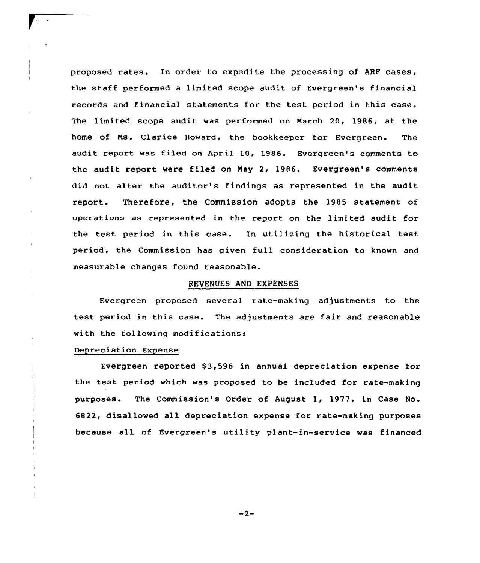proposed rates. In order to expedite the processing of ARF cases, the staff performed <sup>a</sup> limited scope audit of Evergreen's financial records and financial statements for the test period in this case. The limited scope audit was performed on March 20, 1986, at the home of Ms. Clarice Howard, the bookkeeper for Evergreen. The audit report was filed on April 10, 1986. Evergreen's comments to the audit report were filed on May 2, 1986. Evergreen's comments did not alter the auditor's findings as represented in the audit report. Therefore, the Commission adopts the 1985 statement of operations as represented in the report on the limited audit for the test period in this case. In utilizing the historical test period, the Commission has given full consideration to known and measurable changes found reasonable.

#### REVENUES AND EXPENSES

Evergreen proposed several rate-making adjustments to the test period in this case. The adjustments are fair and reasonable with the following modifications:

# Depreciation Expense

Evergreen reported \$3,596 in annual depreciation expense for the test period which was proposed to be included for rate-making purposes. The Commission's Order of August 1, 1977, in Case No. 6822, disallowed all depreciation expense for rate-making purposes because all of Evergreen's utility plant-in-service was financed

 $-2-$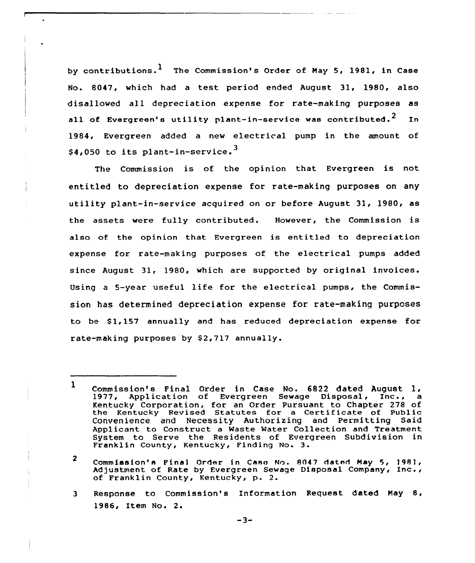by contributions.  $1$  The Commission's Order of May 5, 1981, in Case No. 8047, which had a test period ended August 31, 1980, also disallowed all depreciation expense for rate-making purposes as all of Evergreen's utility plant-in-service was contributed.<sup>2</sup> In 1984, Evergreen added <sup>a</sup> new electrical pump in the amount of \$4,050 to its plant-in-service.<sup>3</sup>

The Commission is of the opinion that Evergreen is not entitled to depreciation expense for rate-making purposes on any utility plant-in-service acquired on or before August 31, 1980, as the assets were fully contributed. However, the Commission is also of the opinion that Evergreen is entitled to depreciation expense for rate-making purposes of the electrical pumps added since August 31, 1980, which are supported by original invoices. Using <sup>a</sup> 5-year useful life for the electrical pumps, the Commission has determined depreciation expense for rate-making purposes to be \$1,157 annually and has reduced depreciation expense for rate-making purposes by \$2,717 annually.

3 Response to Commission's Information Request dated Nay 8, 1986, Item No. 2.

 $\mathbf{1}$ Commission's Final Order in Case No. 6822 dated August 1, 1977, Application of Evergreen Sewage Disposal, Inc., a Kentucky Corporation, for an Order Pursuant to Chapter 278 of the Kentucky Revised Statutes for a Certificate of Public Convenience and Necessity Authorizing and Permitting Said Applicant to Construct a Waste Water Collection and Treatment System to Serve the Residents of Evergreen Subdivision in Franklin County, Kentucky, Finding No. 3.

 $\overline{2}$ Commission's Final Order in Case No. 8047 dated Nay 5, l98l, Adjustment of Rate by Evergreen Sewage Disposal Company, Inc., of Franklin County, Kentucky, p. 2.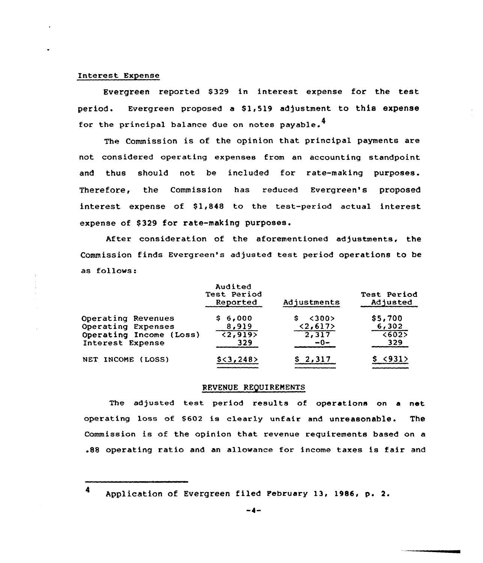### Interest Expense

Evergreen reported \$329 in interest expense for the test period. Evergreen proposed a Sl,519 adjustment to this expense for the principal balance due on notes payable.<sup>4</sup>

The Commission is of the opinion that principal payments are not considered operating expenses from an accounting standpoint and thus should not be included for rate-making purposes. Therefore, the Commission has reduced Evergreen's proposed interest expense of \$1,848 to the test-period actual interest expense of \$329 for rate-making purposes.

After consideration of the aforementioned adjustments, the Commission finds Evergreen's adjusted test period operations to be as follows:

|                         | Audited<br>Test Period<br>Reported | Adjustments         | Test Period<br>Adjusted |
|-------------------------|------------------------------------|---------------------|-------------------------|
| Operating Revenues      | \$6,000                            | $\langle$ 300><br>s | \$5,700                 |
| Operating Expenses      | 8,919                              | <2,617              | 6,302                   |
| Operating Income (Loss) | $\overline{2,9195}$                | 2,317               | $\sqrt{6025}$           |
| Interest Expense        | 329                                | $-0-$               | 329                     |
| NET INCOME (LOSS)       | $$<\,3$ , 248>                     | \$2,317             | < 931                   |

#### REVENUE REQUIRENENTS

The adjusted test period results of operations on <sup>a</sup> net operating loss of \$602 is clearly unfair and unreasonable. The Commission is of the opinion that revenue requirements based on a .88 operating ratio and an allowance for income taxes is fair and

4 Application of Evergreen filed Pebruary 13, 1986, p. 2.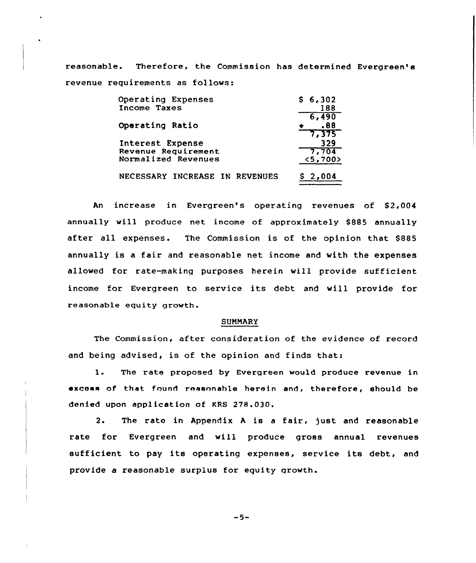reasonable. Therefore, the Commission has determined Evergreen' revenue requirements as follows:

| Operating Expenses             | \$6,302 |
|--------------------------------|---------|
| Income Taxes                   | 188     |
|                                | 6,490   |
| Operating Ratio                | -88     |
|                                | 7.375   |
| Interest Expense               | 329     |
| Revenue Requirement            | 7,704   |
| Normalized Revenues            | < 5,700 |
| NECESSARY INCREASE IN REVENUES |         |
|                                |         |

An increase in Evergreen's operating revenues of 82,004 annually will produce net income of approximately 8885 annually after all expenses. The Commission is of the opinion that \$885 annually is a fair and reasonable net income and with the expenses allowed for rate-making purposes herein will provide sufficient income for Evergreen to service its debt and will provide for reasonable equity growth.

### SUMMARY

The Commission, after consideration of the evidence of record and being advised, is of the opinion and finds that:

l. The rate proposed by Evergreen would produce revenue in excess of that found reasonable herein and, therefore, should be denied upon application of KRS 278.030.

2. The rate in Appendix <sup>A</sup> is <sup>a</sup> fair, just and reasonable rate for Evergreen and will produce gross annual revenues sufficient to pay its operating expenses, service its debt, and provide a reasonable surplus for equity growth.

 $-5-$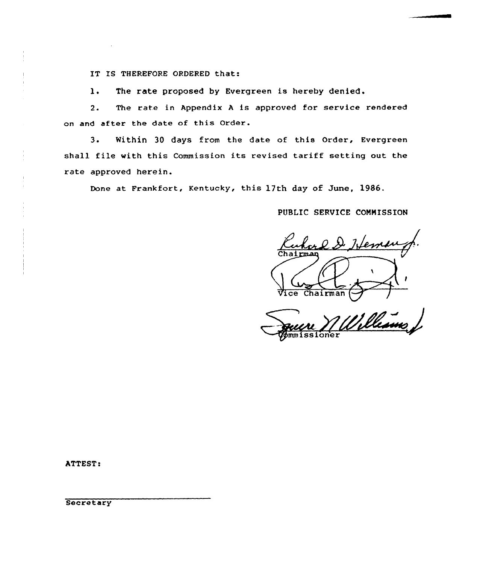IT IS THEREFORE ORDERED that:

1. The rate proposed by Evergreen is hereby denied.

2. The rate in Appendix <sup>A</sup> is approved for service rendered on and after the date of this Order.

3. Within 30 days from the date of this Order, Evergreen shall file with this Commission its revised tariff setting out the rate approved herein.

Done at Frankfort, Kentucky, this 17th day of June, 1986.

# PUBLIC SERUICE CONNISSION

 $22.2.7$ rman Vice Chairman

Villeaus ioner

ATTEST:

**Secretary**